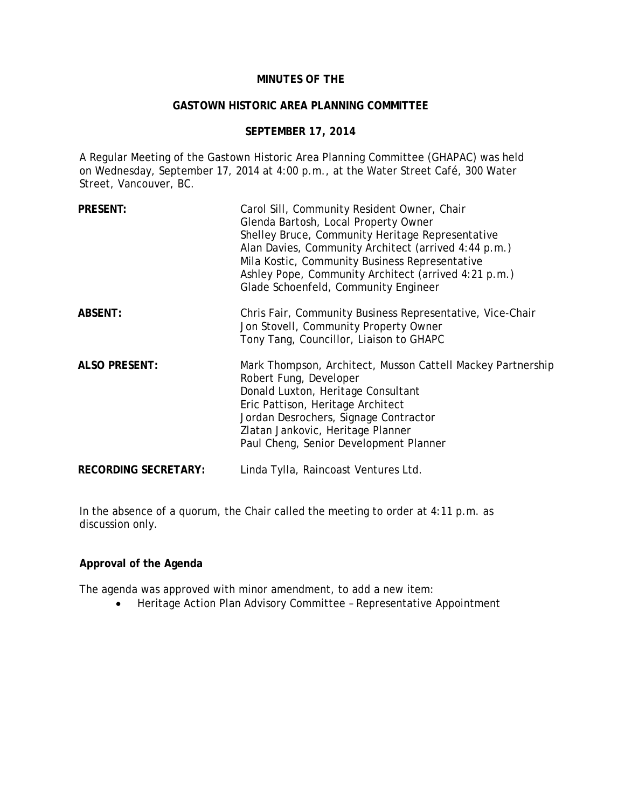## **MINUTES OF THE**

### **GASTOWN HISTORIC AREA PLANNING COMMITTEE**

## **SEPTEMBER 17, 2014**

A Regular Meeting of the Gastown Historic Area Planning Committee (GHAPAC) was held on Wednesday, September 17, 2014 at 4:00 p.m., at the Water Street Café, 300 Water Street, Vancouver, BC.

| <b>PRESENT:</b>             | Carol Sill, Community Resident Owner, Chair<br>Glenda Bartosh, Local Property Owner<br>Shelley Bruce, Community Heritage Representative<br>Alan Davies, Community Architect (arrived 4:44 p.m.)<br>Mila Kostic, Community Business Representative<br>Ashley Pope, Community Architect (arrived 4:21 p.m.)<br>Glade Schoenfeld, Community Engineer |
|-----------------------------|---------------------------------------------------------------------------------------------------------------------------------------------------------------------------------------------------------------------------------------------------------------------------------------------------------------------------------------------------|
| <b>ABSENT:</b>              | Chris Fair, Community Business Representative, Vice-Chair<br>Jon Stovell, Community Property Owner<br>Tony Tang, Councillor, Liaison to GHAPC                                                                                                                                                                                                     |
| <b>ALSO PRESENT:</b>        | Mark Thompson, Architect, Musson Cattell Mackey Partnership<br>Robert Fung, Developer<br>Donald Luxton, Heritage Consultant<br>Eric Pattison, Heritage Architect<br>Jordan Desrochers, Signage Contractor<br>Zlatan Jankovic, Heritage Planner<br>Paul Cheng, Senior Development Planner                                                          |
| <b>RECORDING SECRETARY:</b> | Linda Tylla, Raincoast Ventures Ltd.                                                                                                                                                                                                                                                                                                              |

In the absence of a quorum, the Chair called the meeting to order at 4:11 p.m. as discussion only.

## **Approval of the Agenda**

The agenda was approved with minor amendment, to add a new item:

• Heritage Action Plan Advisory Committee – Representative Appointment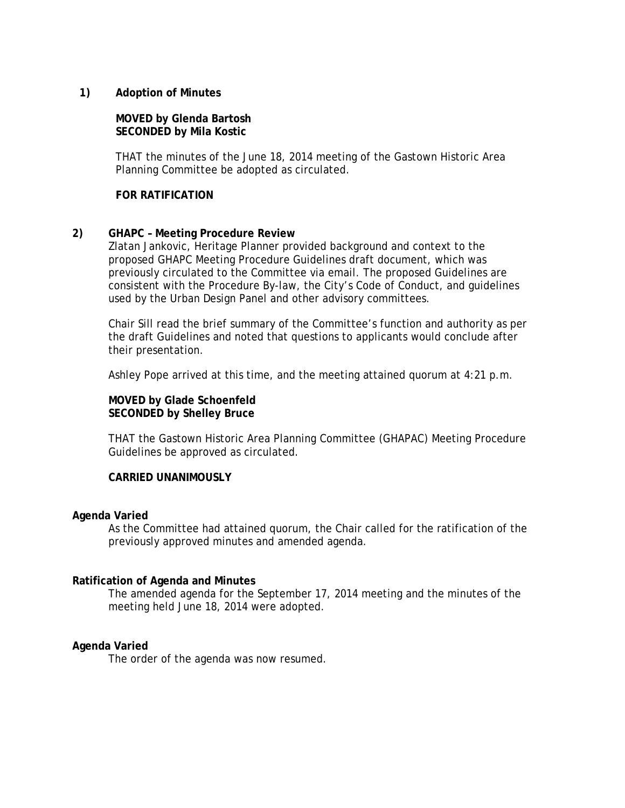## **1) Adoption of Minutes**

## **MOVED by Glenda Bartosh SECONDED by Mila Kostic**

THAT the minutes of the June 18, 2014 meeting of the Gastown Historic Area Planning Committee be adopted as circulated.

### **FOR RATIFICATION**

## **2) GHAPC – Meeting Procedure Review**

Zlatan Jankovic, Heritage Planner provided background and context to the proposed GHAPC Meeting Procedure Guidelines draft document, which was previously circulated to the Committee via email. The proposed Guidelines are consistent with the Procedure By-law, the City's Code of Conduct, and guidelines used by the Urban Design Panel and other advisory committees.

Chair Sill read the brief summary of the Committee's function and authority as per the draft Guidelines and noted that questions to applicants would conclude after their presentation.

Ashley Pope arrived at this time, and the meeting attained quorum at 4:21 p.m.

## **MOVED by Glade Schoenfeld SECONDED by Shelley Bruce**

THAT the Gastown Historic Area Planning Committee (GHAPAC) Meeting Procedure Guidelines be approved as circulated.

## **CARRIED UNANIMOUSLY**

#### **Agenda Varied**

As the Committee had attained quorum, the Chair called for the ratification of the previously approved minutes and amended agenda.

#### **Ratification of Agenda and Minutes**

The amended agenda for the September 17, 2014 meeting and the minutes of the meeting held June 18, 2014 were adopted.

#### **Agenda Varied**

The order of the agenda was now resumed.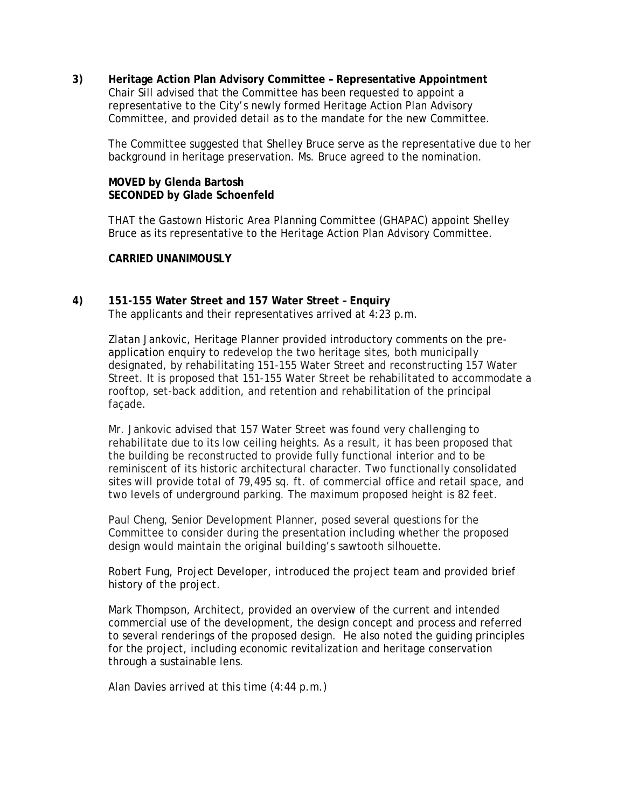**3) Heritage Action Plan Advisory Committee – Representative Appointment**  Chair Sill advised that the Committee has been requested to appoint a representative to the City's newly formed Heritage Action Plan Advisory Committee, and provided detail as to the mandate for the new Committee.

The Committee suggested that Shelley Bruce serve as the representative due to her background in heritage preservation. Ms. Bruce agreed to the nomination.

## **MOVED by Glenda Bartosh SECONDED by Glade Schoenfeld**

THAT the Gastown Historic Area Planning Committee (GHAPAC) appoint Shelley Bruce as its representative to the Heritage Action Plan Advisory Committee.

## **CARRIED UNANIMOUSLY**

**4) 151-155 Water Street and 157 Water Street – Enquiry**  The applicants and their representatives arrived at 4:23 p.m.

> Zlatan Jankovic, Heritage Planner provided introductory comments on the preapplication enquiry to redevelop the two heritage sites, both municipally designated, by rehabilitating 151-155 Water Street and reconstructing 157 Water Street. It is proposed that 151-155 Water Street be rehabilitated to accommodate a rooftop, set-back addition, and retention and rehabilitation of the principal façade.

Mr. Jankovic advised that 157 Water Street was found very challenging to rehabilitate due to its low ceiling heights. As a result, it has been proposed that the building be reconstructed to provide fully functional interior and to be reminiscent of its historic architectural character. Two functionally consolidated sites will provide total of 79,495 sq. ft. of commercial office and retail space, and two levels of underground parking. The maximum proposed height is 82 feet.

Paul Cheng, Senior Development Planner, posed several questions for the Committee to consider during the presentation including whether the proposed design would maintain the original building's sawtooth silhouette.

Robert Fung, Project Developer, introduced the project team and provided brief history of the project.

Mark Thompson, Architect, provided an overview of the current and intended commercial use of the development, the design concept and process and referred to several renderings of the proposed design. He also noted the guiding principles for the project, including economic revitalization and heritage conservation through a sustainable lens.

Alan Davies arrived at this time (4:44 p.m.)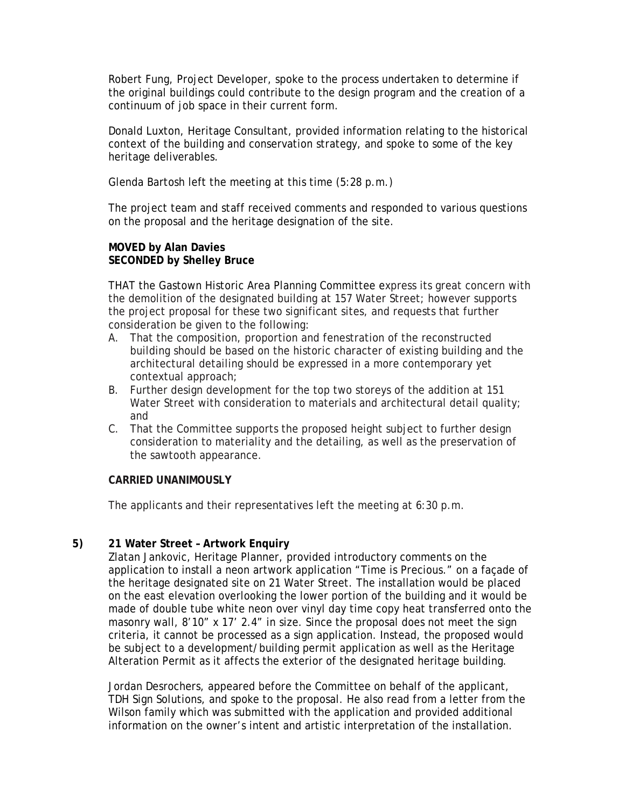Robert Fung, Project Developer, spoke to the process undertaken to determine if the original buildings could contribute to the design program and the creation of a continuum of job space in their current form.

Donald Luxton, Heritage Consultant, provided information relating to the historical context of the building and conservation strategy, and spoke to some of the key heritage deliverables.

Glenda Bartosh left the meeting at this time (5:28 p.m.)

The project team and staff received comments and responded to various questions on the proposal and the heritage designation of the site.

## **MOVED by Alan Davies SECONDED by Shelley Bruce**

THAT the Gastown Historic Area Planning Committee express its great concern with the demolition of the designated building at 157 Water Street; however supports the project proposal for these two significant sites, and requests that further consideration be given to the following:

- A. That the composition, proportion and fenestration of the reconstructed building should be based on the historic character of existing building and the architectural detailing should be expressed in a more contemporary yet contextual approach;
- B. Further design development for the top two storeys of the addition at 151 Water Street with consideration to materials and architectural detail quality; and
- C. That the Committee supports the proposed height subject to further design consideration to materiality and the detailing, as well as the preservation of the sawtooth appearance.

## **CARRIED UNANIMOUSLY**

The applicants and their representatives left the meeting at 6:30 p.m.

# **5) 21 Water Street – Artwork Enquiry**

Zlatan Jankovic, Heritage Planner, provided introductory comments on the application to install a neon artwork application "Time is Precious." on a façade of the heritage designated site on 21 Water Street. The installation would be placed on the east elevation overlooking the lower portion of the building and it would be made of double tube white neon over vinyl day time copy heat transferred onto the masonry wall, 8'10" x 17' 2.4" in size. Since the proposal does not meet the sign criteria, it cannot be processed as a sign application. Instead, the proposed would be subject to a development/building permit application as well as the Heritage Alteration Permit as it affects the exterior of the designated heritage building.

Jordan Desrochers, appeared before the Committee on behalf of the applicant, TDH Sign Solutions, and spoke to the proposal. He also read from a letter from the Wilson family which was submitted with the application and provided additional information on the owner's intent and artistic interpretation of the installation.